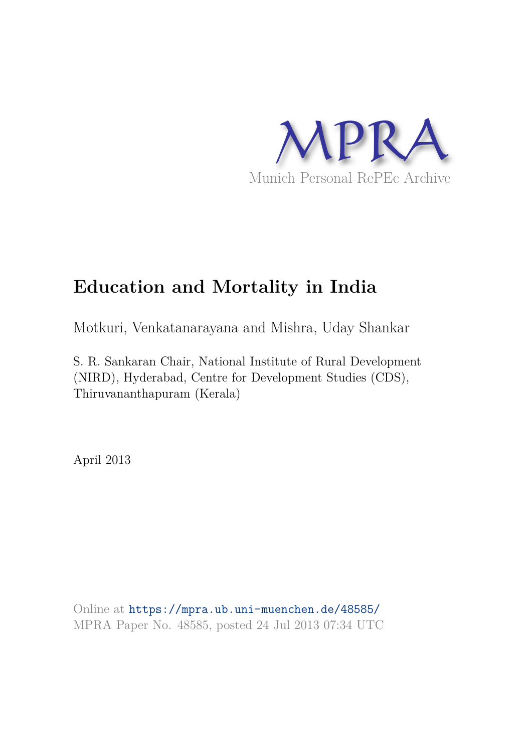

# **Education and Mortality in India**

Motkuri, Venkatanarayana and Mishra, Uday Shankar

S. R. Sankaran Chair, National Institute of Rural Development (NIRD), Hyderabad, Centre for Development Studies (CDS), Thiruvananthapuram (Kerala)

April 2013

Online at https://mpra.ub.uni-muenchen.de/48585/ MPRA Paper No. 48585, posted 24 Jul 2013 07:34 UTC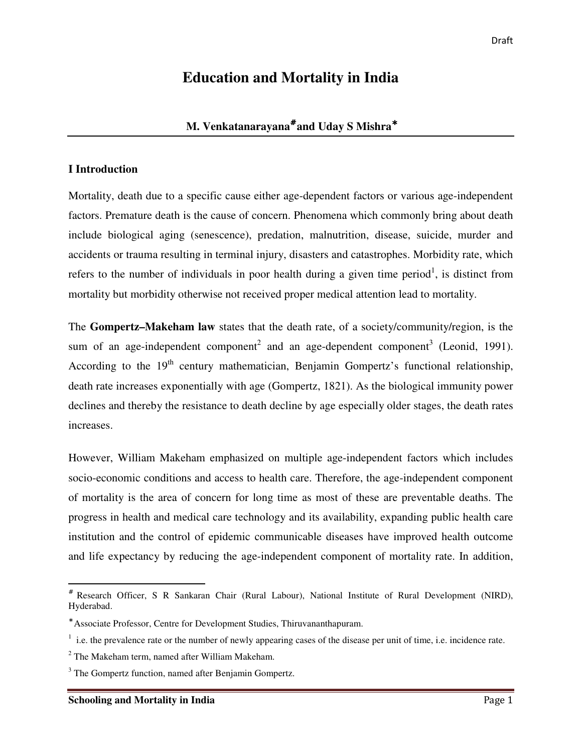# **Education and Mortality in India**

## **M. Venkatanarayana**# **and Uday S Mishra**<sup>∗</sup>

### **I Introduction**

Mortality, death due to a specific cause either age-dependent factors or various age-independent factors. Premature death is the cause of concern. Phenomena which commonly bring about death include biological aging (senescence), predation, malnutrition, disease, suicide, murder and accidents or trauma resulting in terminal injury, disasters and catastrophes. Morbidity rate, which refers to the number of individuals in poor health during a given time period<sup>1</sup>, is distinct from mortality but morbidity otherwise not received proper medical attention lead to mortality.

The **Gompertz–Makeham law** states that the death rate, of a society/community/region, is the sum of an age-independent component<sup>2</sup> and an age-dependent component<sup>3</sup> (Leonid, 1991). According to the  $19<sup>th</sup>$  century mathematician, Benjamin Gompertz's functional relationship, death rate increases exponentially with age (Gompertz, 1821). As the biological immunity power declines and thereby the resistance to death decline by age especially older stages, the death rates increases.

However, William Makeham emphasized on multiple age-independent factors which includes socio-economic conditions and access to health care. Therefore, the age-independent component of mortality is the area of concern for long time as most of these are preventable deaths. The progress in health and medical care technology and its availability, expanding public health care institution and the control of epidemic communicable diseases have improved health outcome and life expectancy by reducing the age-independent component of mortality rate. In addition,

 $\overline{a}$ 

<sup>#</sup> Research Officer, S R Sankaran Chair (Rural Labour), National Institute of Rural Development (NIRD), Hyderabad.

<sup>∗</sup> Associate Professor, Centre for Development Studies, Thiruvananthapuram.

 $<sup>1</sup>$  i.e. the prevalence rate or the number of newly appearing cases of the disease per unit of time, i.e. incidence rate.</sup>

 $2$  The Makeham term, named after William Makeham.

<sup>&</sup>lt;sup>3</sup> The Gompertz function, named after Benjamin Gompertz.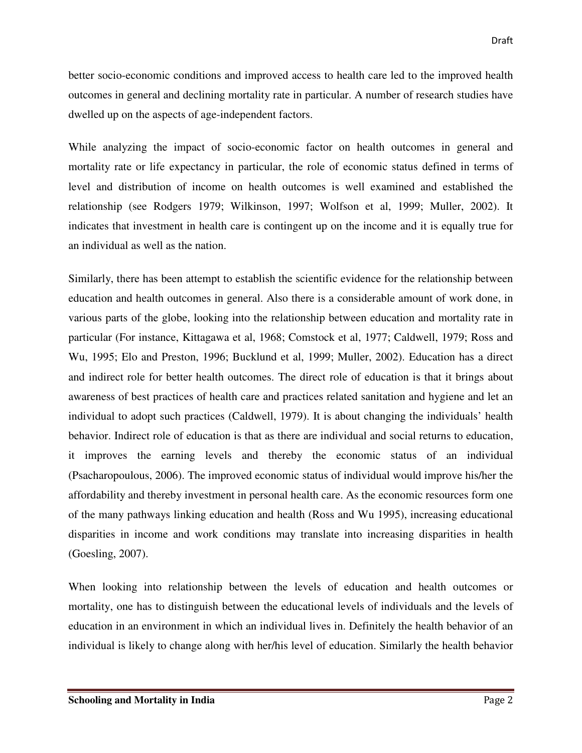better socio-economic conditions and improved access to health care led to the improved health outcomes in general and declining mortality rate in particular. A number of research studies have dwelled up on the aspects of age-independent factors.

While analyzing the impact of socio-economic factor on health outcomes in general and mortality rate or life expectancy in particular, the role of economic status defined in terms of level and distribution of income on health outcomes is well examined and established the relationship (see Rodgers 1979; Wilkinson, 1997; Wolfson et al, 1999; Muller, 2002). It indicates that investment in health care is contingent up on the income and it is equally true for an individual as well as the nation.

Similarly, there has been attempt to establish the scientific evidence for the relationship between education and health outcomes in general. Also there is a considerable amount of work done, in various parts of the globe, looking into the relationship between education and mortality rate in particular (For instance, Kittagawa et al, 1968; Comstock et al, 1977; Caldwell, 1979; Ross and Wu, 1995; Elo and Preston, 1996; Bucklund et al, 1999; Muller, 2002). Education has a direct and indirect role for better health outcomes. The direct role of education is that it brings about awareness of best practices of health care and practices related sanitation and hygiene and let an individual to adopt such practices (Caldwell, 1979). It is about changing the individuals' health behavior. Indirect role of education is that as there are individual and social returns to education, it improves the earning levels and thereby the economic status of an individual (Psacharopoulous, 2006). The improved economic status of individual would improve his/her the affordability and thereby investment in personal health care. As the economic resources form one of the many pathways linking education and health (Ross and Wu 1995), increasing educational disparities in income and work conditions may translate into increasing disparities in health (Goesling, 2007).

When looking into relationship between the levels of education and health outcomes or mortality, one has to distinguish between the educational levels of individuals and the levels of education in an environment in which an individual lives in. Definitely the health behavior of an individual is likely to change along with her/his level of education. Similarly the health behavior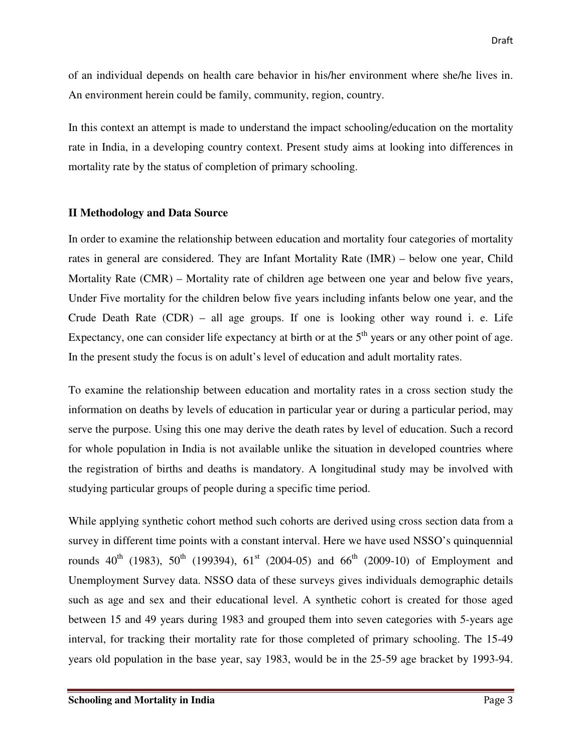of an individual depends on health care behavior in his/her environment where she/he lives in. An environment herein could be family, community, region, country.

In this context an attempt is made to understand the impact schooling/education on the mortality rate in India, in a developing country context. Present study aims at looking into differences in mortality rate by the status of completion of primary schooling.

#### **II Methodology and Data Source**

In order to examine the relationship between education and mortality four categories of mortality rates in general are considered. They are Infant Mortality Rate (IMR) – below one year, Child Mortality Rate (CMR) – Mortality rate of children age between one year and below five years, Under Five mortality for the children below five years including infants below one year, and the Crude Death Rate (CDR) – all age groups. If one is looking other way round i. e. Life Expectancy, one can consider life expectancy at birth or at the  $5<sup>th</sup>$  years or any other point of age. In the present study the focus is on adult's level of education and adult mortality rates.

To examine the relationship between education and mortality rates in a cross section study the information on deaths by levels of education in particular year or during a particular period, may serve the purpose. Using this one may derive the death rates by level of education. Such a record for whole population in India is not available unlike the situation in developed countries where the registration of births and deaths is mandatory. A longitudinal study may be involved with studying particular groups of people during a specific time period.

While applying synthetic cohort method such cohorts are derived using cross section data from a survey in different time points with a constant interval. Here we have used NSSO's quinquennial rounds  $40^{th}$  (1983),  $50^{th}$  (199394),  $61^{st}$  (2004-05) and  $66^{th}$  (2009-10) of Employment and Unemployment Survey data. NSSO data of these surveys gives individuals demographic details such as age and sex and their educational level. A synthetic cohort is created for those aged between 15 and 49 years during 1983 and grouped them into seven categories with 5-years age interval, for tracking their mortality rate for those completed of primary schooling. The 15-49 years old population in the base year, say 1983, would be in the 25-59 age bracket by 1993-94.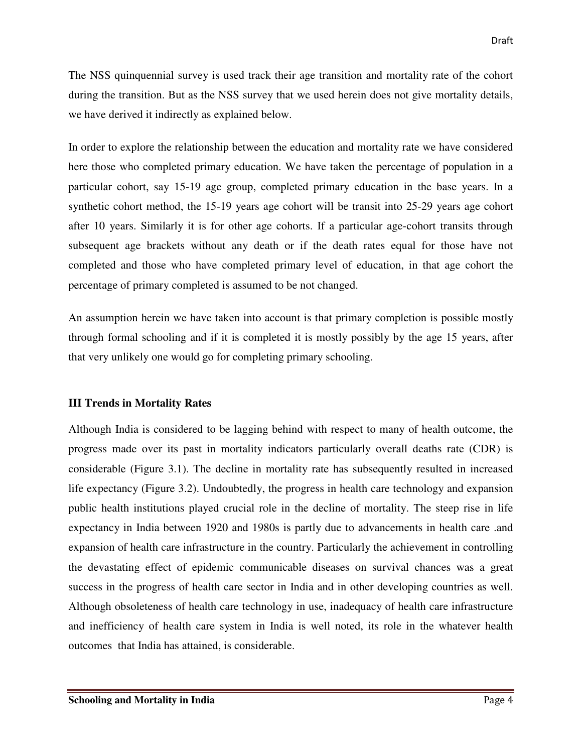The NSS quinquennial survey is used track their age transition and mortality rate of the cohort during the transition. But as the NSS survey that we used herein does not give mortality details, we have derived it indirectly as explained below.

In order to explore the relationship between the education and mortality rate we have considered here those who completed primary education. We have taken the percentage of population in a particular cohort, say 15-19 age group, completed primary education in the base years. In a synthetic cohort method, the 15-19 years age cohort will be transit into 25-29 years age cohort after 10 years. Similarly it is for other age cohorts. If a particular age-cohort transits through subsequent age brackets without any death or if the death rates equal for those have not completed and those who have completed primary level of education, in that age cohort the percentage of primary completed is assumed to be not changed.

An assumption herein we have taken into account is that primary completion is possible mostly through formal schooling and if it is completed it is mostly possibly by the age 15 years, after that very unlikely one would go for completing primary schooling.

#### **III Trends in Mortality Rates**

Although India is considered to be lagging behind with respect to many of health outcome, the progress made over its past in mortality indicators particularly overall deaths rate (CDR) is considerable (Figure 3.1). The decline in mortality rate has subsequently resulted in increased life expectancy (Figure 3.2). Undoubtedly, the progress in health care technology and expansion public health institutions played crucial role in the decline of mortality. The steep rise in life expectancy in India between 1920 and 1980s is partly due to advancements in health care .and expansion of health care infrastructure in the country. Particularly the achievement in controlling the devastating effect of epidemic communicable diseases on survival chances was a great success in the progress of health care sector in India and in other developing countries as well. Although obsoleteness of health care technology in use, inadequacy of health care infrastructure and inefficiency of health care system in India is well noted, its role in the whatever health outcomes that India has attained, is considerable.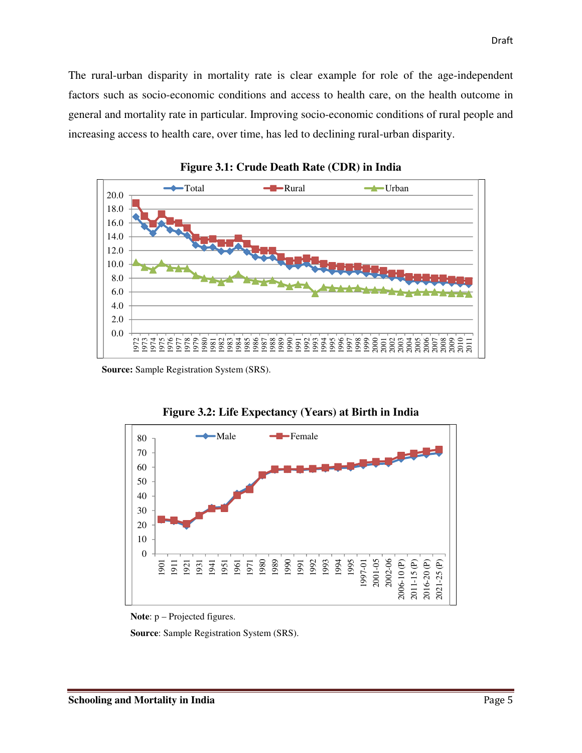The rural-urban disparity in mortality rate is clear example for role of the age-independent factors such as socio-economic conditions and access to health care, on the health outcome in general and mortality rate in particular. Improving socio-economic conditions of rural people and increasing access to health care, over time, has led to declining rural-urban disparity.



**Figure 3.1: Crude Death Rate (CDR) in India** 

**Source:** Sample Registration System (SRS).



**Figure 3.2: Life Expectancy (Years) at Birth in India** 

**Source**: Sample Registration System (SRS).

**Note**: p – Projected figures.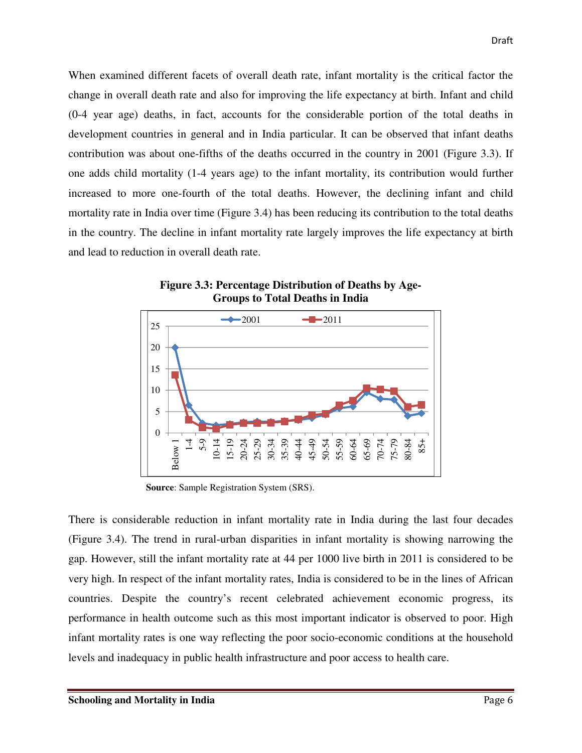When examined different facets of overall death rate, infant mortality is the critical factor the change in overall death rate and also for improving the life expectancy at birth. Infant and child (0-4 year age) deaths, in fact, accounts for the considerable portion of the total deaths in development countries in general and in India particular. It can be observed that infant deaths contribution was about one-fifths of the deaths occurred in the country in 2001 (Figure 3.3). If one adds child mortality (1-4 years age) to the infant mortality, its contribution would further increased to more one-fourth of the total deaths. However, the declining infant and child mortality rate in India over time (Figure 3.4) has been reducing its contribution to the total deaths in the country. The decline in infant mortality rate largely improves the life expectancy at birth and lead to reduction in overall death rate.



**Figure 3.3: Percentage Distribution of Deaths by Age-Groups to Total Deaths in India** 

**Source**: Sample Registration System (SRS).

There is considerable reduction in infant mortality rate in India during the last four decades (Figure 3.4). The trend in rural-urban disparities in infant mortality is showing narrowing the gap. However, still the infant mortality rate at 44 per 1000 live birth in 2011 is considered to be very high. In respect of the infant mortality rates, India is considered to be in the lines of African countries. Despite the country's recent celebrated achievement economic progress, its performance in health outcome such as this most important indicator is observed to poor. High infant mortality rates is one way reflecting the poor socio-economic conditions at the household levels and inadequacy in public health infrastructure and poor access to health care.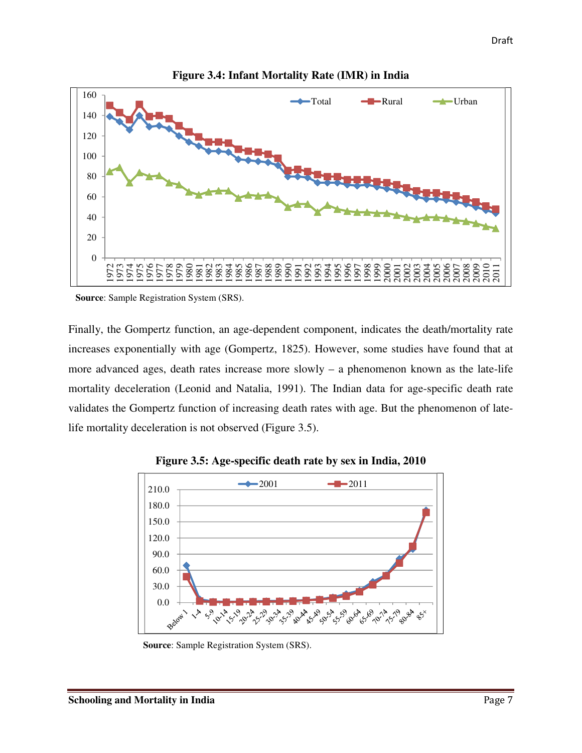

**Figure 3.4: Infant Mortality Rate (IMR) in India** 

**Source**: Sample Registration System (SRS).

Finally, the Gompertz function, an age-dependent component, indicates the death/mortality rate increases exponentially with age (Gompertz, 1825). However, some studies have found that at more advanced ages, death rates increase more slowly – a phenomenon known as the late-life mortality deceleration (Leonid and Natalia, 1991). The Indian data for age-specific death rate validates the Gompertz function of increasing death rates with age. But the phenomenon of latelife mortality deceleration is not observed (Figure 3.5).



**Figure 3.5: Age-specific death rate by sex in India, 2010** 

**Source**: Sample Registration System (SRS).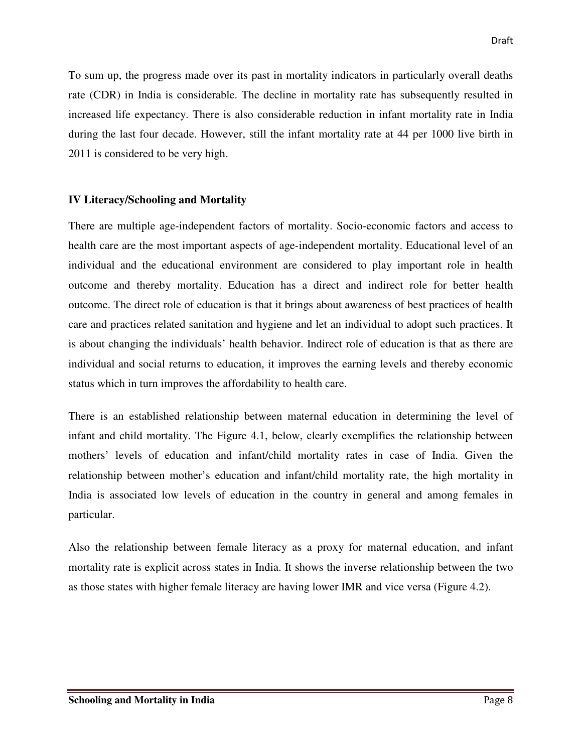To sum up, the progress made over its past in mortality indicators in particularly overall deaths rate (CDR) in India is considerable. The decline in mortality rate has subsequently resulted in increased life expectancy. There is also considerable reduction in infant mortality rate in India during the last four decade. However, still the infant mortality rate at 44 per 1000 live birth in 2011 is considered to be very high.

#### **IV Literacy/Schooling and Mortality**

There are multiple age-independent factors of mortality. Socio-economic factors and access to health care are the most important aspects of age-independent mortality. Educational level of an individual and the educational environment are considered to play important role in health outcome and thereby mortality. Education has a direct and indirect role for better health outcome. The direct role of education is that it brings about awareness of best practices of health care and practices related sanitation and hygiene and let an individual to adopt such practices. It is about changing the individuals' health behavior. Indirect role of education is that as there are individual and social returns to education, it improves the earning levels and thereby economic status which in turn improves the affordability to health care.

There is an established relationship between maternal education in determining the level of infant and child mortality. The Figure 4.1, below, clearly exemplifies the relationship between mothers' levels of education and infant/child mortality rates in case of India. Given the relationship between mother's education and infant/child mortality rate, the high mortality in India is associated low levels of education in the country in general and among females in particular.

Also the relationship between female literacy as a proxy for maternal education, and infant mortality rate is explicit across states in India. It shows the inverse relationship between the two as those states with higher female literacy are having lower IMR and vice versa (Figure 4.2).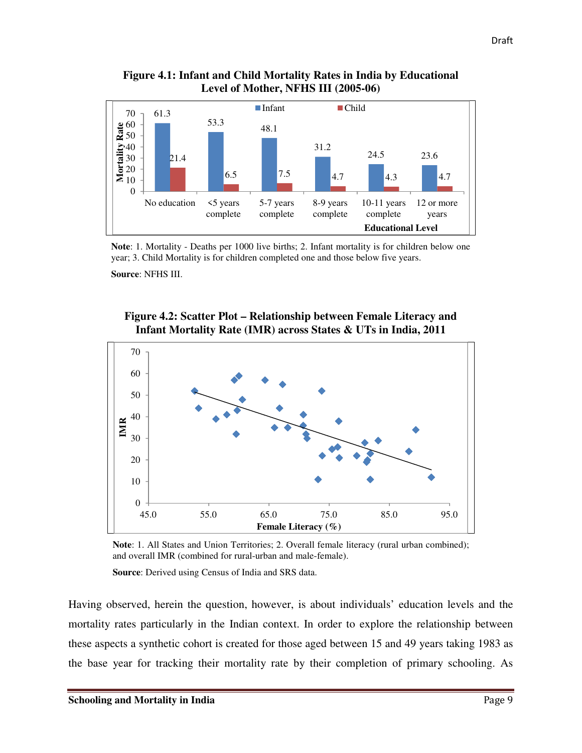**Figure 4.1: Infant and Child Mortality Rates in India by Educational Level of Mother, NFHS III (2005-06)** 



**Note**: 1. Mortality - Deaths per 1000 live births; 2. Infant mortality is for children below one year; 3. Child Mortality is for children completed one and those below five years.

**Source**: NFHS III.





**Note**: 1. All States and Union Territories; 2. Overall female literacy (rural urban combined); and overall IMR (combined for rural-urban and male-female).

**Source**: Derived using Census of India and SRS data.

Having observed, herein the question, however, is about individuals' education levels and the mortality rates particularly in the Indian context. In order to explore the relationship between these aspects a synthetic cohort is created for those aged between 15 and 49 years taking 1983 as the base year for tracking their mortality rate by their completion of primary schooling. As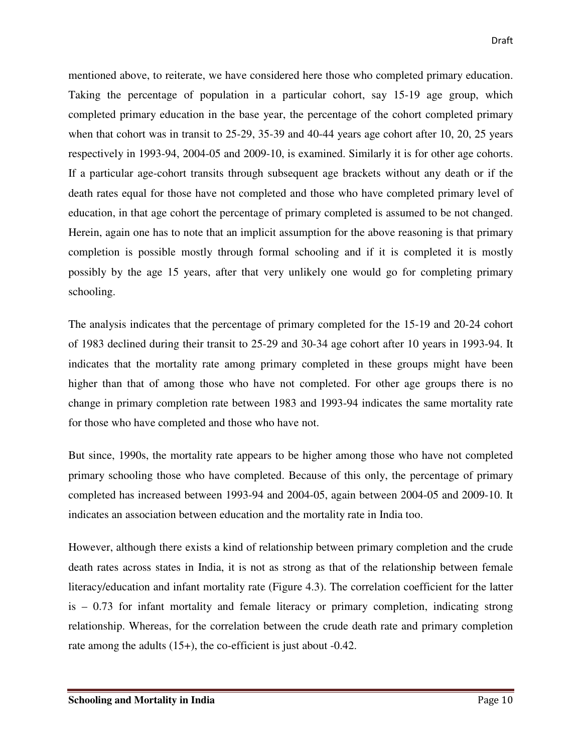mentioned above, to reiterate, we have considered here those who completed primary education. Taking the percentage of population in a particular cohort, say 15-19 age group, which completed primary education in the base year, the percentage of the cohort completed primary when that cohort was in transit to 25-29, 35-39 and 40-44 years age cohort after 10, 20, 25 years respectively in 1993-94, 2004-05 and 2009-10, is examined. Similarly it is for other age cohorts. If a particular age-cohort transits through subsequent age brackets without any death or if the death rates equal for those have not completed and those who have completed primary level of education, in that age cohort the percentage of primary completed is assumed to be not changed. Herein, again one has to note that an implicit assumption for the above reasoning is that primary completion is possible mostly through formal schooling and if it is completed it is mostly possibly by the age 15 years, after that very unlikely one would go for completing primary schooling.

The analysis indicates that the percentage of primary completed for the 15-19 and 20-24 cohort of 1983 declined during their transit to 25-29 and 30-34 age cohort after 10 years in 1993-94. It indicates that the mortality rate among primary completed in these groups might have been higher than that of among those who have not completed. For other age groups there is no change in primary completion rate between 1983 and 1993-94 indicates the same mortality rate for those who have completed and those who have not.

But since, 1990s, the mortality rate appears to be higher among those who have not completed primary schooling those who have completed. Because of this only, the percentage of primary completed has increased between 1993-94 and 2004-05, again between 2004-05 and 2009-10. It indicates an association between education and the mortality rate in India too.

However, although there exists a kind of relationship between primary completion and the crude death rates across states in India, it is not as strong as that of the relationship between female literacy/education and infant mortality rate (Figure 4.3). The correlation coefficient for the latter is – 0.73 for infant mortality and female literacy or primary completion, indicating strong relationship. Whereas, for the correlation between the crude death rate and primary completion rate among the adults (15+), the co-efficient is just about -0.42.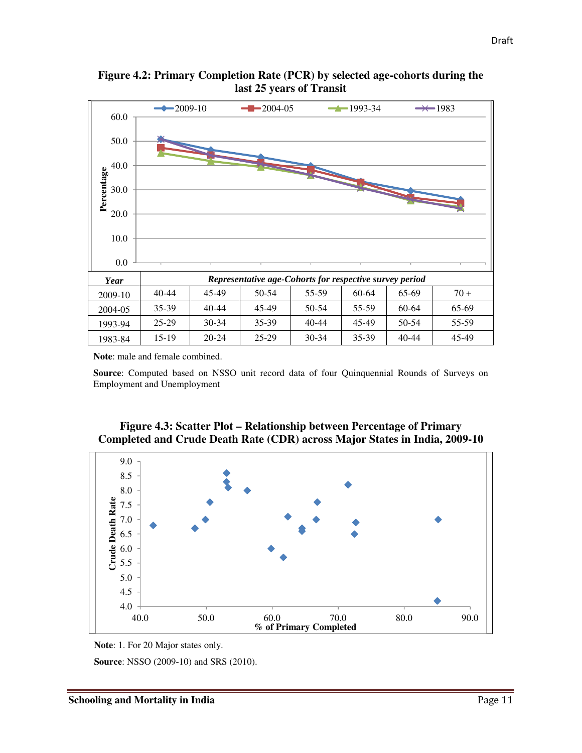

**Figure 4.2: Primary Completion Rate (PCR) by selected age-cohorts during the last 25 years of Transit** 

**Note**: male and female combined.

**Source**: Computed based on NSSO unit record data of four Quinquennial Rounds of Surveys on Employment and Unemployment





**Note**: 1. For 20 Major states only.

**Source**: NSSO (2009-10) and SRS (2010).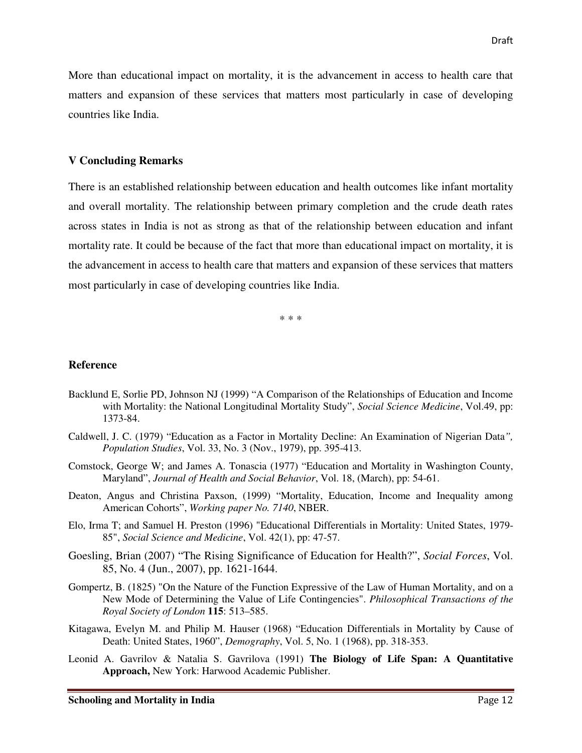More than educational impact on mortality, it is the advancement in access to health care that matters and expansion of these services that matters most particularly in case of developing countries like India.

#### **V Concluding Remarks**

There is an established relationship between education and health outcomes like infant mortality and overall mortality. The relationship between primary completion and the crude death rates across states in India is not as strong as that of the relationship between education and infant mortality rate. It could be because of the fact that more than educational impact on mortality, it is the advancement in access to health care that matters and expansion of these services that matters most particularly in case of developing countries like India.

\* \* \*

#### **Reference**

- Backlund E, Sorlie PD, Johnson NJ (1999) "A Comparison of the Relationships of Education and Income with Mortality: the National Longitudinal Mortality Study", *Social Science Medicine*, Vol.49, pp: 1373-84.
- Caldwell, J. C. (1979) "Education as a Factor in Mortality Decline: An Examination of Nigerian Data*", Population Studies*, Vol. 33, No. 3 (Nov., 1979), pp. 395-413.
- Comstock, George W; and James A. Tonascia (1977) "Education and Mortality in Washington County, Maryland", *Journal of Health and Social Behavior*, Vol. 18, (March), pp: 54-61.
- Deaton, Angus and Christina Paxson, (1999) "Mortality, Education, Income and Inequality among American Cohorts", *Working paper No. 7140*, NBER.
- Elo, Irma T; and Samuel H. Preston (1996) "Educational Differentials in Mortality: United States, 1979- 85", *Social Science and Medicine*, Vol. 42(1), pp: 47-57.
- Goesling, Brian (2007) "The Rising Significance of Education for Health?", *Social Forces*, Vol. 85, No. 4 (Jun., 2007), pp. 1621-1644.
- Gompertz, B. (1825) "On the Nature of the Function Expressive of the Law of Human Mortality, and on a New Mode of Determining the Value of Life Contingencies". *Philosophical Transactions of the Royal Society of London* **115**: 513–585.
- Kitagawa, Evelyn M. and Philip M. Hauser (1968) "Education Differentials in Mortality by Cause of Death: United States, 1960", *Demography*, Vol. 5, No. 1 (1968), pp. 318-353.
- Leonid A. Gavrilov & Natalia S. Gavrilova (1991) **The Biology of Life Span: A Quantitative Approach,** New York: Harwood Academic Publisher.